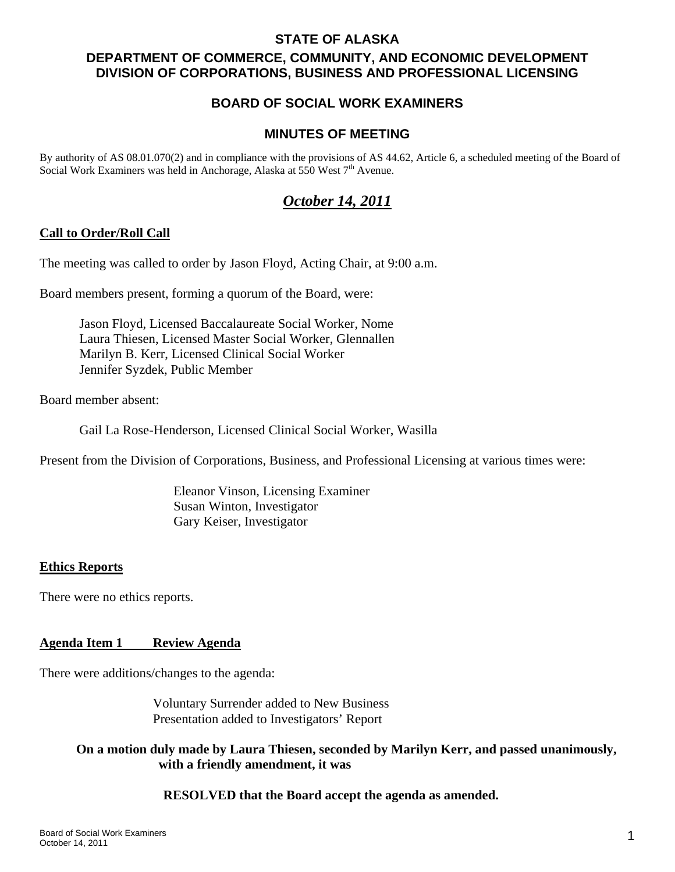### **STATE OF ALASKA**

# **DEPARTMENT OF COMMERCE, COMMUNITY, AND ECONOMIC DEVELOPMENT DIVISION OF CORPORATIONS, BUSINESS AND PROFESSIONAL LICENSING**

# **BOARD OF SOCIAL WORK EXAMINERS**

### **MINUTES OF MEETING**

By authority of AS 08.01.070(2) and in compliance with the provisions of AS 44.62, Article 6, a scheduled meeting of the Board of Social Work Examiners was held in Anchorage, Alaska at 550 West 7<sup>th</sup> Avenue.

# *October 14, 2011*

### **Call to Order/Roll Call**

The meeting was called to order by Jason Floyd, Acting Chair, at 9:00 a.m.

Board members present, forming a quorum of the Board, were:

 Jason Floyd, Licensed Baccalaureate Social Worker, Nome Laura Thiesen, Licensed Master Social Worker, Glennallen Marilyn B. Kerr, Licensed Clinical Social Worker Jennifer Syzdek, Public Member

Board member absent:

Gail La Rose-Henderson, Licensed Clinical Social Worker, Wasilla

Present from the Division of Corporations, Business, and Professional Licensing at various times were:

 Eleanor Vinson, Licensing Examiner Susan Winton, Investigator Gary Keiser, Investigator

### **Ethics Reports**

There were no ethics reports.

### **Agenda Item 1 Review Agenda**

There were additions/changes to the agenda:

 Voluntary Surrender added to New Business Presentation added to Investigators' Report

### **On a motion duly made by Laura Thiesen, seconded by Marilyn Kerr, and passed unanimously, with a friendly amendment, it was**

#### **RESOLVED that the Board accept the agenda as amended.**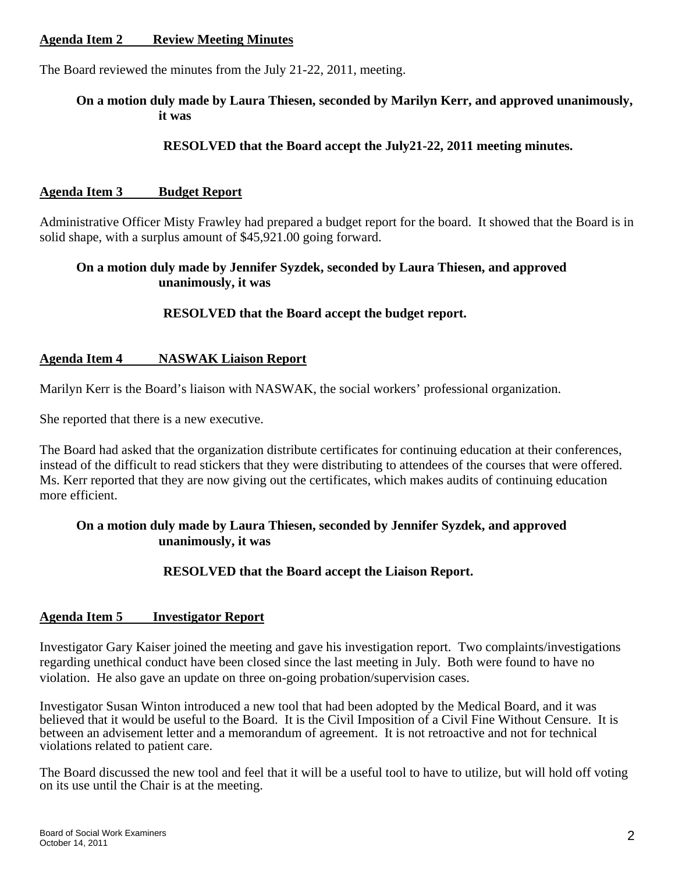### **Agenda Item 2 Review Meeting Minutes**

The Board reviewed the minutes from the July 21-22, 2011, meeting.

### **On a motion duly made by Laura Thiesen, seconded by Marilyn Kerr, and approved unanimously, it was**

### **RESOLVED that the Board accept the July21-22, 2011 meeting minutes.**

### **Agenda Item 3 Budget Report**

Administrative Officer Misty Frawley had prepared a budget report for the board. It showed that the Board is in solid shape, with a surplus amount of \$45,921.00 going forward.

### **On a motion duly made by Jennifer Syzdek, seconded by Laura Thiesen, and approved unanimously, it was**

### **RESOLVED that the Board accept the budget report.**

### **Agenda Item 4 NASWAK Liaison Report**

Marilyn Kerr is the Board's liaison with NASWAK, the social workers' professional organization.

She reported that there is a new executive.

The Board had asked that the organization distribute certificates for continuing education at their conferences, instead of the difficult to read stickers that they were distributing to attendees of the courses that were offered. Ms. Kerr reported that they are now giving out the certificates, which makes audits of continuing education more efficient.

### **On a motion duly made by Laura Thiesen, seconded by Jennifer Syzdek, and approved unanimously, it was**

### **RESOLVED that the Board accept the Liaison Report.**

### **Agenda Item 5 Investigator Report**

Investigator Gary Kaiser joined the meeting and gave his investigation report. Two complaints/investigations regarding unethical conduct have been closed since the last meeting in July. Both were found to have no violation. He also gave an update on three on-going probation/supervision cases.

Investigator Susan Winton introduced a new tool that had been adopted by the Medical Board, and it was believed that it would be useful to the Board. It is the Civil Imposition of a Civil Fine Without Censure. It is between an advisement letter and a memorandum of agreement. It is not retroactive and not for technical violations related to patient care.

The Board discussed the new tool and feel that it will be a useful tool to have to utilize, but will hold off voting on its use until the Chair is at the meeting.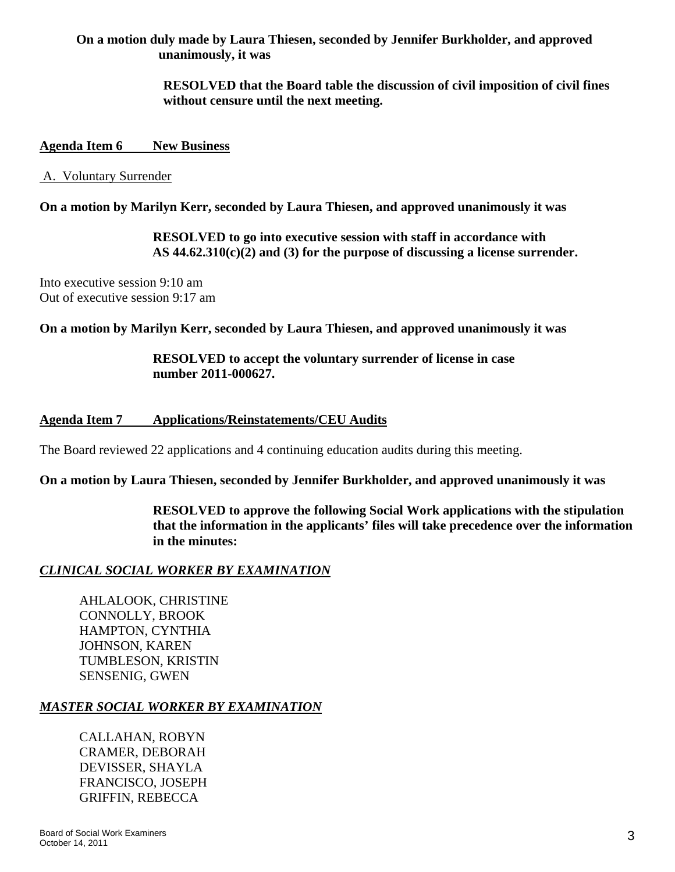## **On a motion duly made by Laura Thiesen, seconded by Jennifer Burkholder, and approved unanimously, it was**

### **RESOLVED that the Board table the discussion of civil imposition of civil fines without censure until the next meeting.**

### **Agenda Item 6 New Business**

### A. Voluntary Surrender

**On a motion by Marilyn Kerr, seconded by Laura Thiesen, and approved unanimously it was** 

 **RESOLVED to go into executive session with staff in accordance with AS 44.62.310(c)(2) and (3) for the purpose of discussing a license surrender.** 

Into executive session 9:10 am Out of executive session 9:17 am

**On a motion by Marilyn Kerr, seconded by Laura Thiesen, and approved unanimously it was** 

 **RESOLVED to accept the voluntary surrender of license in case number 2011-000627.** 

### **Agenda Item 7 Applications/Reinstatements/CEU Audits**

The Board reviewed 22 applications and 4 continuing education audits during this meeting.

**On a motion by Laura Thiesen, seconded by Jennifer Burkholder, and approved unanimously it was** 

 **RESOLVED to approve the following Social Work applications with the stipulation that the information in the applicants' files will take precedence over the information in the minutes:** 

### *CLINICAL SOCIAL WORKER BY EXAMINATION*

 AHLALOOK, CHRISTINE CONNOLLY, BROOK HAMPTON, CYNTHIA JOHNSON, KAREN TUMBLESON, KRISTIN SENSENIG, GWEN

### *MASTER SOCIAL WORKER BY EXAMINATION*

CALLAHAN, ROBYN CRAMER, DEBORAH DEVISSER, SHAYLA FRANCISCO, JOSEPH GRIFFIN, REBECCA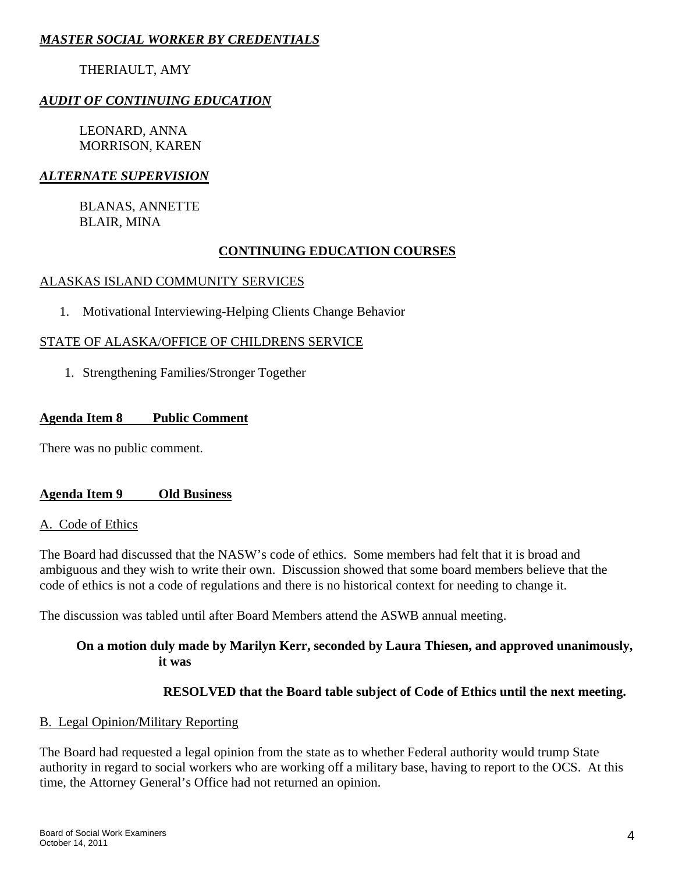# *MASTER SOCIAL WORKER BY CREDENTIALS*

# THERIAULT, AMY

## *AUDIT OF CONTINUING EDUCATION*

LEONARD, ANNA MORRISON, KAREN

## *ALTERNATE SUPERVISION*

BLANAS, ANNETTE BLAIR, MINA

### **CONTINUING EDUCATION COURSES**

### ALASKAS ISLAND COMMUNITY SERVICES

1. Motivational Interviewing-Helping Clients Change Behavior

### STATE OF ALASKA/OFFICE OF CHILDRENS SERVICE

1. Strengthening Families/Stronger Together

### **Agenda Item 8 Public Comment**

There was no public comment.

### **Agenda Item 9 Old Business**

### A. Code of Ethics

The Board had discussed that the NASW's code of ethics. Some members had felt that it is broad and ambiguous and they wish to write their own. Discussion showed that some board members believe that the code of ethics is not a code of regulations and there is no historical context for needing to change it.

The discussion was tabled until after Board Members attend the ASWB annual meeting.

### **On a motion duly made by Marilyn Kerr, seconded by Laura Thiesen, and approved unanimously, it was**

### **RESOLVED that the Board table subject of Code of Ethics until the next meeting.**

### B. Legal Opinion/Military Reporting

The Board had requested a legal opinion from the state as to whether Federal authority would trump State authority in regard to social workers who are working off a military base, having to report to the OCS. At this time, the Attorney General's Office had not returned an opinion.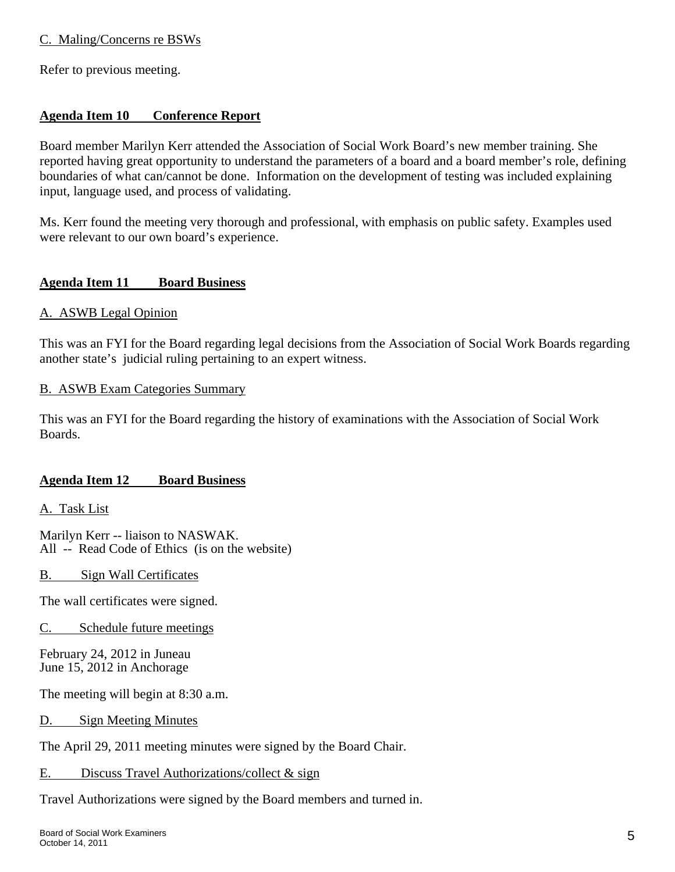### C. Maling/Concerns re BSWs

Refer to previous meeting.

### **Agenda Item 10 Conference Report**

Board member Marilyn Kerr attended the Association of Social Work Board's new member training. She reported having great opportunity to understand the parameters of a board and a board member's role, defining boundaries of what can/cannot be done. Information on the development of testing was included explaining input, language used, and process of validating.

Ms. Kerr found the meeting very thorough and professional, with emphasis on public safety. Examples used were relevant to our own board's experience.

### **Agenda Item 11 Board Business**

### A. ASWB Legal Opinion

This was an FYI for the Board regarding legal decisions from the Association of Social Work Boards regarding another state's judicial ruling pertaining to an expert witness.

### B. ASWB Exam Categories Summary

This was an FYI for the Board regarding the history of examinations with the Association of Social Work Boards.

### **Agenda Item 12 Board Business**

A. Task List

Marilyn Kerr -- liaison to NASWAK. All -- Read Code of Ethics (is on the website)

B. Sign Wall Certificates

The wall certificates were signed.

C. Schedule future meetings

February 24, 2012 in Juneau June 15, 2012 in Anchorage

The meeting will begin at 8:30 a.m.

D. Sign Meeting Minutes

The April 29, 2011 meeting minutes were signed by the Board Chair.

E. Discuss Travel Authorizations/collect & sign

Travel Authorizations were signed by the Board members and turned in.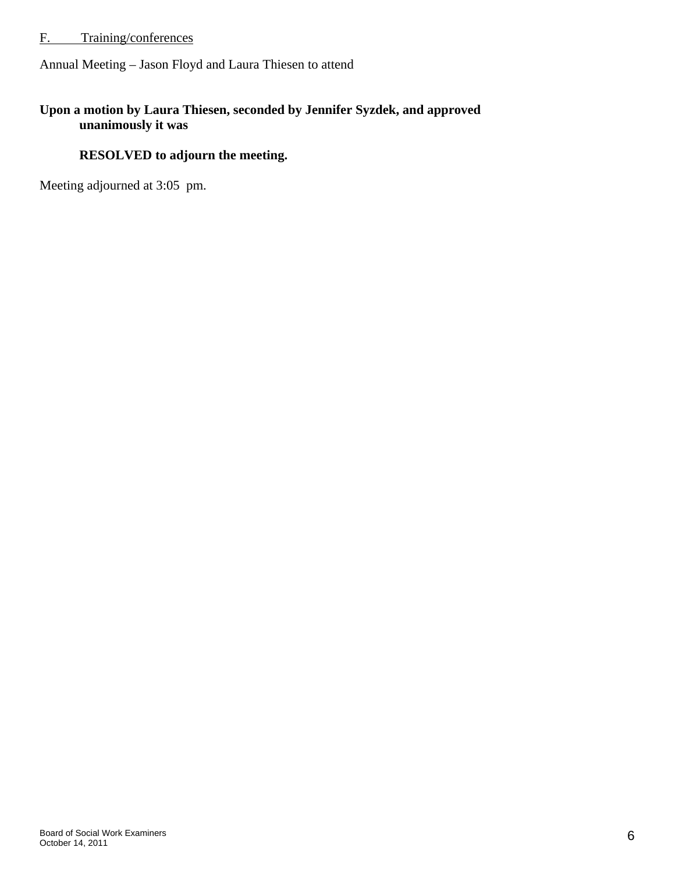# F. Training/conferences

Annual Meeting – Jason Floyd and Laura Thiesen to attend

### **Upon a motion by Laura Thiesen, seconded by Jennifer Syzdek, and approved unanimously it was**

# **RESOLVED to adjourn the meeting.**

Meeting adjourned at 3:05 pm.